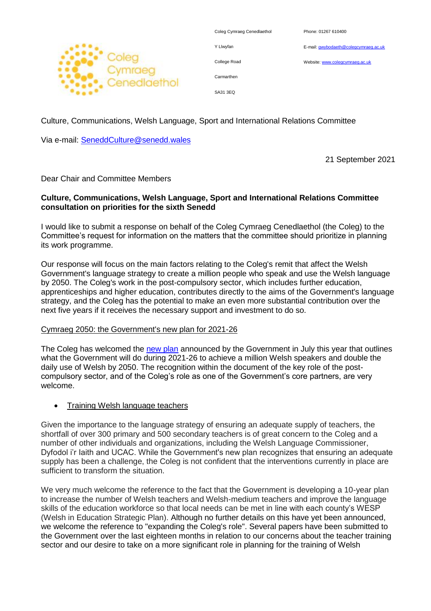

| Coleg Cymraeg Cenedlaethol |  |
|----------------------------|--|
| Y Llwyfan                  |  |
| College Road               |  |
| Carmarthen                 |  |

Phone: 01267 610400

E-mail[: gwybodaeth@colegcymraeg.ac.uk](mailto:gwybodaeth@colegcymraeg.ac.uk)

Website[: www.colegcymraeg.ac.uk](http://www.colegcymraeg.ac.uk/)

SA31 3EQ

Culture, Communications, Welsh Language, Sport and International Relations Committee

Via e-mail: [SeneddCulture@senedd.wales](mailto:SeneddCulture@senedd.wales)

21 September 2021

Dear Chair and Committee Members

## **Culture, Communications, Welsh Language, Sport and International Relations Committee consultation on priorities for the sixth Senedd**

I would like to submit a response on behalf of the Coleg Cymraeg Cenedlaethol (the Coleg) to the Committee's request for information on the matters that the committee should prioritize in planning its work programme.

Our response will focus on the main factors relating to the Coleg's remit that affect the Welsh Government's language strategy to create a million people who speak and use the Welsh language by 2050. The Coleg's work in the post-compulsory sector, which includes further education, apprenticeships and higher education, contributes directly to the aims of the Government's language strategy, and the Coleg has the potential to make an even more substantial contribution over the next five years if it receives the necessary support and investment to do so.

# Cymraeg 2050: the Government's new plan for 2021-26

The Coleg has welcomed the [new plan](https://gov.wales/cymraeg-2050-our-plan-2021-2026) announced by the Government in July this year that outlines what the Government will do during 2021-26 to achieve a million Welsh speakers and double the daily use of Welsh by 2050. The recognition within the document of the key role of the postcompulsory sector, and of the Coleg's role as one of the Government's core partners, are very welcome.

## Training Welsh language teachers

Given the importance to the language strategy of ensuring an adequate supply of teachers, the shortfall of over 300 primary and 500 secondary teachers is of great concern to the Coleg and a number of other individuals and organizations, including the Welsh Language Commissioner, Dyfodol i'r Iaith and UCAC. While the Government's new plan recognizes that ensuring an adequate supply has been a challenge, the Coleg is not confident that the interventions currently in place are sufficient to transform the situation.

We very much welcome the reference to the fact that the Government is developing a 10-year plan to increase the number of Welsh teachers and Welsh-medium teachers and improve the language skills of the education workforce so that local needs can be met in line with each county's WESP (Welsh in Education Strategic Plan). Although no further details on this have yet been announced, we welcome the reference to "expanding the Coleg's role". Several papers have been submitted to the Government over the last eighteen months in relation to our concerns about the teacher training sector and our desire to take on a more significant role in planning for the training of Welsh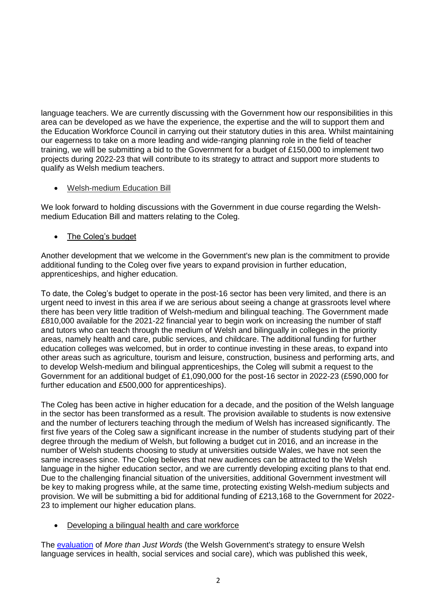language teachers. We are currently discussing with the Government how our responsibilities in this area can be developed as we have the experience, the expertise and the will to support them and the Education Workforce Council in carrying out their statutory duties in this area. Whilst maintaining our eagerness to take on a more leading and wide-ranging planning role in the field of teacher training, we will be submitting a bid to the Government for a budget of £150,000 to implement two projects during 2022-23 that will contribute to its strategy to attract and support more students to qualify as Welsh medium teachers.

# Welsh-medium Education Bill

We look forward to holding discussions with the Government in due course regarding the Welshmedium Education Bill and matters relating to the Coleg.

# The Coleg's budget

Another development that we welcome in the Government's new plan is the commitment to provide additional funding to the Coleg over five years to expand provision in further education, apprenticeships, and higher education.

To date, the Coleg's budget to operate in the post-16 sector has been very limited, and there is an urgent need to invest in this area if we are serious about seeing a change at grassroots level where there has been very little tradition of Welsh-medium and bilingual teaching. The Government made £810,000 available for the 2021-22 financial year to begin work on increasing the number of staff and tutors who can teach through the medium of Welsh and bilingually in colleges in the priority areas, namely health and care, public services, and childcare. The additional funding for further education colleges was welcomed, but in order to continue investing in these areas, to expand into other areas such as agriculture, tourism and leisure, construction, business and performing arts, and to develop Welsh-medium and bilingual apprenticeships, the Coleg will submit a request to the Government for an additional budget of £1,090,000 for the post-16 sector in 2022-23 (£590,000 for further education and £500,000 for apprenticeships).

The Coleg has been active in higher education for a decade, and the position of the Welsh language in the sector has been transformed as a result. The provision available to students is now extensive and the number of lecturers teaching through the medium of Welsh has increased significantly. The first five years of the Coleg saw a significant increase in the number of students studying part of their degree through the medium of Welsh, but following a budget cut in 2016, and an increase in the number of Welsh students choosing to study at universities outside Wales, we have not seen the same increases since. The Coleg believes that new audiences can be attracted to the Welsh language in the higher education sector, and we are currently developing exciting plans to that end. Due to the challenging financial situation of the universities, additional Government investment will be key to making progress while, at the same time, protecting existing Welsh-medium subjects and provision. We will be submitting a bid for additional funding of £213,168 to the Government for 2022- 23 to implement our higher education plans.

## Developing a bilingual health and care workforce

The [evaluation](https://gov.wales/evaluation-more-just-words-final-report) of *More than Just Words* (the Welsh Government's strategy to ensure Welsh language services in health, social services and social care), which was published this week,